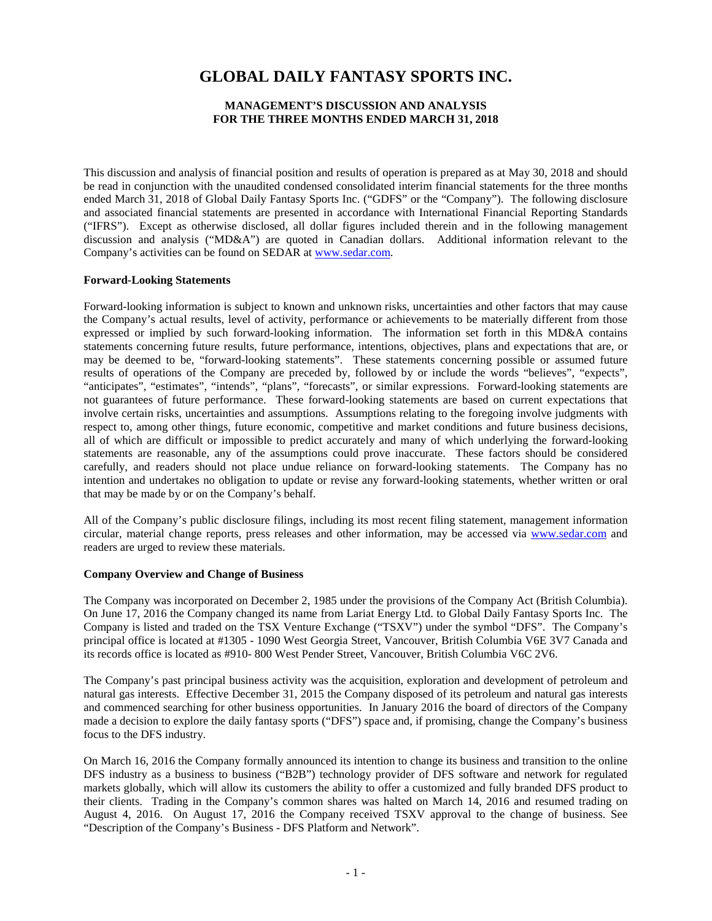# **GLOBAL DAILY FANTASY SPORTS INC.**

# **MANAGEMENT'S DISCUSSION AND ANALYSIS FOR THE THREE MONTHS ENDED MARCH 31, 2018**

This discussion and analysis of financial position and results of operation is prepared as at May 30, 2018 and should be read in conjunction with the unaudited condensed consolidated interim financial statements for the three months ended March 31, 2018 of Global Daily Fantasy Sports Inc. ("GDFS" or the "Company"). The following disclosure and associated financial statements are presented in accordance with International Financial Reporting Standards ("IFRS"). Except as otherwise disclosed, all dollar figures included therein and in the following management discussion and analysis ("MD&A") are quoted in Canadian dollars. Additional information relevant to the Company's activities can be found on SEDAR at www.sedar.com.

### **Forward-Looking Statements**

Forward-looking information is subject to known and unknown risks, uncertainties and other factors that may cause the Company's actual results, level of activity, performance or achievements to be materially different from those expressed or implied by such forward-looking information. The information set forth in this MD&A contains statements concerning future results, future performance, intentions, objectives, plans and expectations that are, or may be deemed to be, "forward-looking statements". These statements concerning possible or assumed future results of operations of the Company are preceded by, followed by or include the words "believes", "expects", "anticipates", "estimates", "intends", "plans", "forecasts", or similar expressions. Forward-looking statements are not guarantees of future performance. These forward-looking statements are based on current expectations that involve certain risks, uncertainties and assumptions. Assumptions relating to the foregoing involve judgments with respect to, among other things, future economic, competitive and market conditions and future business decisions, all of which are difficult or impossible to predict accurately and many of which underlying the forward-looking statements are reasonable, any of the assumptions could prove inaccurate. These factors should be considered carefully, and readers should not place undue reliance on forward-looking statements. The Company has no intention and undertakes no obligation to update or revise any forward-looking statements, whether written or oral that may be made by or on the Company's behalf.

All of the Company's public disclosure filings, including its most recent filing statement, management information circular, material change reports, press releases and other information, may be accessed via [www.sedar.com](http://www.sedar.com/) and readers are urged to review these materials.

## **Company Overview and Change of Business**

The Company was incorporated on December 2, 1985 under the provisions of the Company Act (British Columbia). On June 17, 2016 the Company changed its name from Lariat Energy Ltd. to Global Daily Fantasy Sports Inc. The Company is listed and traded on the TSX Venture Exchange ("TSXV") under the symbol "DFS". The Company's principal office is located at #1305 - 1090 West Georgia Street, Vancouver, British Columbia V6E 3V7 Canada and its records office is located as #910- 800 West Pender Street, Vancouver, British Columbia V6C 2V6.

The Company's past principal business activity was the acquisition, exploration and development of petroleum and natural gas interests. Effective December 31, 2015 the Company disposed of its petroleum and natural gas interests and commenced searching for other business opportunities. In January 2016 the board of directors of the Company made a decision to explore the daily fantasy sports ("DFS") space and, if promising, change the Company's business focus to the DFS industry.

On March 16, 2016 the Company formally announced its intention to change its business and transition to the online DFS industry as a business to business ("B2B") technology provider of DFS software and network for regulated markets globally, which will allow its customers the ability to offer a customized and fully branded DFS product to their clients. Trading in the Company's common shares was halted on March 14, 2016 and resumed trading on August 4, 2016. On August 17, 2016 the Company received TSXV approval to the change of business. See "Description of the Company's Business - DFS Platform and Network".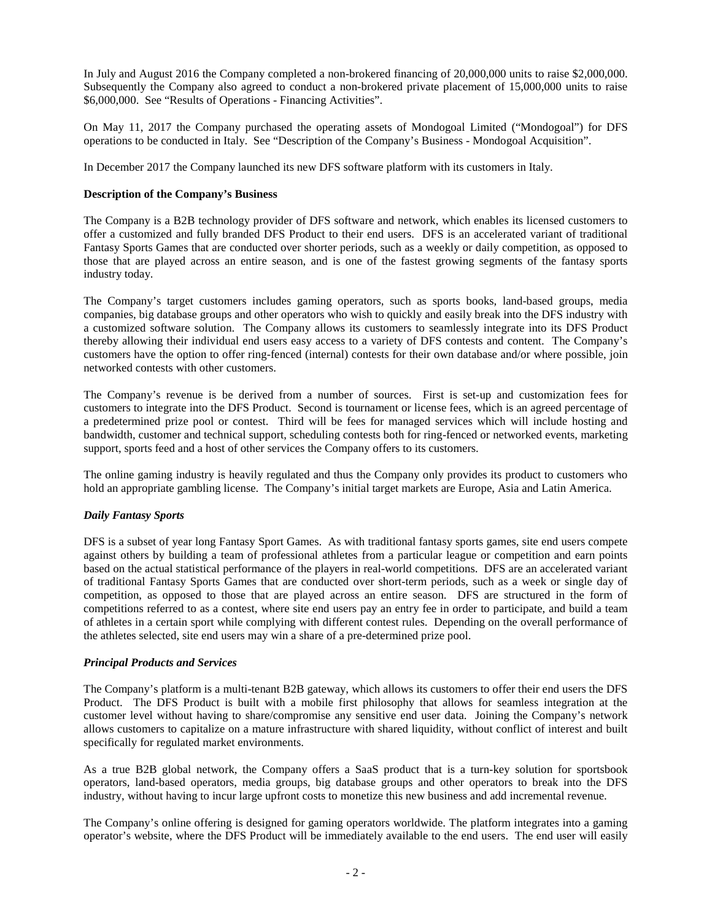In July and August 2016 the Company completed a non-brokered financing of 20,000,000 units to raise \$2,000,000. Subsequently the Company also agreed to conduct a non-brokered private placement of 15,000,000 units to raise \$6,000,000. See "Results of Operations - Financing Activities".

On May 11, 2017 the Company purchased the operating assets of Mondogoal Limited ("Mondogoal") for DFS operations to be conducted in Italy. See "Description of the Company's Business - Mondogoal Acquisition".

In December 2017 the Company launched its new DFS software platform with its customers in Italy.

## **Description of the Company's Business**

The Company is a B2B technology provider of DFS software and network, which enables its licensed customers to offer a customized and fully branded DFS Product to their end users. DFS is an accelerated variant of traditional Fantasy Sports Games that are conducted over shorter periods, such as a weekly or daily competition, as opposed to those that are played across an entire season, and is one of the fastest growing segments of the fantasy sports industry today.

The Company's target customers includes gaming operators, such as sports books, land-based groups, media companies, big database groups and other operators who wish to quickly and easily break into the DFS industry with a customized software solution. The Company allows its customers to seamlessly integrate into its DFS Product thereby allowing their individual end users easy access to a variety of DFS contests and content. The Company's customers have the option to offer ring-fenced (internal) contests for their own database and/or where possible, join networked contests with other customers.

The Company's revenue is be derived from a number of sources. First is set-up and customization fees for customers to integrate into the DFS Product. Second is tournament or license fees, which is an agreed percentage of a predetermined prize pool or contest. Third will be fees for managed services which will include hosting and bandwidth, customer and technical support, scheduling contests both for ring-fenced or networked events, marketing support, sports feed and a host of other services the Company offers to its customers.

The online gaming industry is heavily regulated and thus the Company only provides its product to customers who hold an appropriate gambling license. The Company's initial target markets are Europe, Asia and Latin America.

# *Daily Fantasy Sports*

DFS is a subset of year long Fantasy Sport Games. As with traditional fantasy sports games, site end users compete against others by building a team of professional athletes from a particular league or competition and earn points based on the actual statistical performance of the players in real-world competitions. DFS are an accelerated variant of traditional Fantasy Sports Games that are conducted over short-term periods, such as a week or single day of competition, as opposed to those that are played across an entire season. DFS are structured in the form of competitions referred to as a contest, where site end users pay an entry fee in order to participate, and build a team of athletes in a certain sport while complying with different contest rules. Depending on the overall performance of the athletes selected, site end users may win a share of a pre-determined prize pool.

### *Principal Products and Services*

The Company's platform is a multi-tenant B2B gateway, which allows its customers to offer their end users the DFS Product. The DFS Product is built with a mobile first philosophy that allows for seamless integration at the customer level without having to share/compromise any sensitive end user data. Joining the Company's network allows customers to capitalize on a mature infrastructure with shared liquidity, without conflict of interest and built specifically for regulated market environments.

As a true B2B global network, the Company offers a SaaS product that is a turn-key solution for sportsbook operators, land-based operators, media groups, big database groups and other operators to break into the DFS industry, without having to incur large upfront costs to monetize this new business and add incremental revenue.

The Company's online offering is designed for gaming operators worldwide. The platform integrates into a gaming operator's website, where the DFS Product will be immediately available to the end users. The end user will easily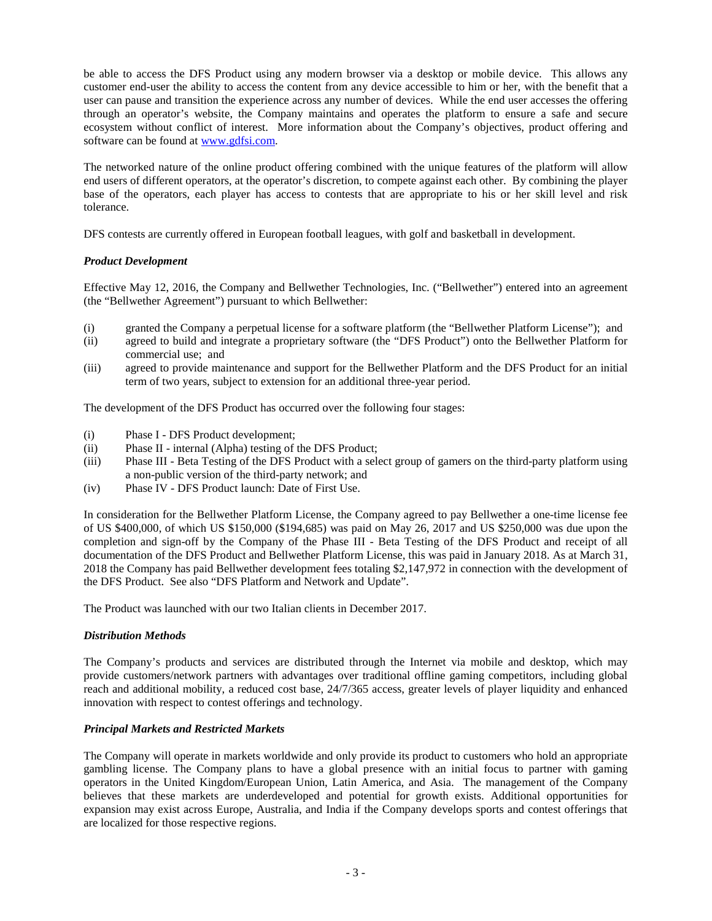be able to access the DFS Product using any modern browser via a desktop or mobile device. This allows any customer end-user the ability to access the content from any device accessible to him or her, with the benefit that a user can pause and transition the experience across any number of devices. While the end user accesses the offering through an operator's website, the Company maintains and operates the platform to ensure a safe and secure ecosystem without conflict of interest. More information about the Company's objectives, product offering and software can be found at [www.gdfsi.com.](http://www.gdfsi.com/)

The networked nature of the online product offering combined with the unique features of the platform will allow end users of different operators, at the operator's discretion, to compete against each other. By combining the player base of the operators, each player has access to contests that are appropriate to his or her skill level and risk tolerance.

DFS contests are currently offered in European football leagues, with golf and basketball in development.

# *Product Development*

Effective May 12, 2016, the Company and Bellwether Technologies, Inc. ("Bellwether") entered into an agreement (the "Bellwether Agreement") pursuant to which Bellwether:

- (i) granted the Company a perpetual license for a software platform (the "Bellwether Platform License"); and
- (ii) agreed to build and integrate a proprietary software (the "DFS Product") onto the Bellwether Platform for commercial use; and
- (iii) agreed to provide maintenance and support for the Bellwether Platform and the DFS Product for an initial term of two years, subject to extension for an additional three-year period.

The development of the DFS Product has occurred over the following four stages:

- (i) Phase I DFS Product development;
- (ii) Phase II internal (Alpha) testing of the DFS Product;
- (iii) Phase III Beta Testing of the DFS Product with a select group of gamers on the third-party platform using a non-public version of the third-party network; and
- (iv) Phase IV DFS Product launch: Date of First Use.

In consideration for the Bellwether Platform License, the Company agreed to pay Bellwether a one-time license fee of US \$400,000, of which US \$150,000 (\$194,685) was paid on May 26, 2017 and US \$250,000 was due upon the completion and sign-off by the Company of the Phase III - Beta Testing of the DFS Product and receipt of all documentation of the DFS Product and Bellwether Platform License, this was paid in January 2018. As at March 31, 2018 the Company has paid Bellwether development fees totaling \$2,147,972 in connection with the development of the DFS Product. See also "DFS Platform and Network and Update".

The Product was launched with our two Italian clients in December 2017.

# *Distribution Methods*

The Company's products and services are distributed through the Internet via mobile and desktop, which may provide customers/network partners with advantages over traditional offline gaming competitors, including global reach and additional mobility, a reduced cost base, 24/7/365 access, greater levels of player liquidity and enhanced innovation with respect to contest offerings and technology.

# *Principal Markets and Restricted Markets*

The Company will operate in markets worldwide and only provide its product to customers who hold an appropriate gambling license. The Company plans to have a global presence with an initial focus to partner with gaming operators in the United Kingdom/European Union, Latin America, and Asia. The management of the Company believes that these markets are underdeveloped and potential for growth exists. Additional opportunities for expansion may exist across Europe, Australia, and India if the Company develops sports and contest offerings that are localized for those respective regions.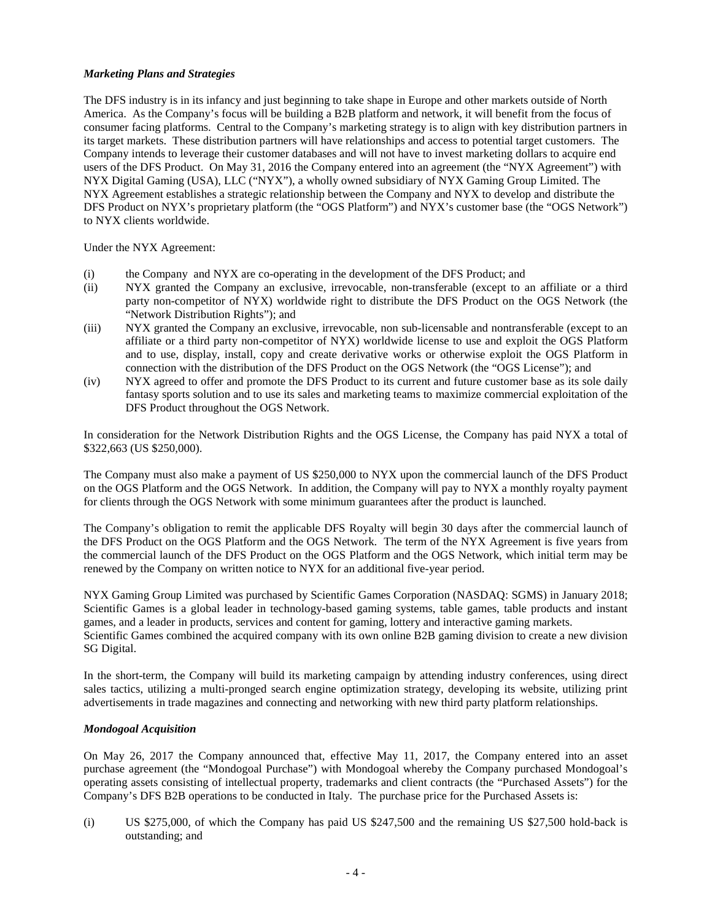# *Marketing Plans and Strategies*

The DFS industry is in its infancy and just beginning to take shape in Europe and other markets outside of North America. As the Company's focus will be building a B2B platform and network, it will benefit from the focus of consumer facing platforms. Central to the Company's marketing strategy is to align with key distribution partners in its target markets. These distribution partners will have relationships and access to potential target customers. The Company intends to leverage their customer databases and will not have to invest marketing dollars to acquire end users of the DFS Product. On May 31, 2016 the Company entered into an agreement (the "NYX Agreement") with NYX Digital Gaming (USA), LLC ("NYX"), a wholly owned subsidiary of NYX Gaming Group Limited. The NYX Agreement establishes a strategic relationship between the Company and NYX to develop and distribute the DFS Product on NYX's proprietary platform (the "OGS Platform") and NYX's customer base (the "OGS Network") to NYX clients worldwide.

Under the NYX Agreement:

- (i) the Company and NYX are co-operating in the development of the DFS Product; and
- (ii) NYX granted the Company an exclusive, irrevocable, non-transferable (except to an affiliate or a third party non-competitor of NYX) worldwide right to distribute the DFS Product on the OGS Network (the "Network Distribution Rights"); and
- (iii) NYX granted the Company an exclusive, irrevocable, non sub-licensable and nontransferable (except to an affiliate or a third party non-competitor of NYX) worldwide license to use and exploit the OGS Platform and to use, display, install, copy and create derivative works or otherwise exploit the OGS Platform in connection with the distribution of the DFS Product on the OGS Network (the "OGS License"); and
- (iv) NYX agreed to offer and promote the DFS Product to its current and future customer base as its sole daily fantasy sports solution and to use its sales and marketing teams to maximize commercial exploitation of the DFS Product throughout the OGS Network.

In consideration for the Network Distribution Rights and the OGS License, the Company has paid NYX a total of \$322,663 (US \$250,000).

The Company must also make a payment of US \$250,000 to NYX upon the commercial launch of the DFS Product on the OGS Platform and the OGS Network. In addition, the Company will pay to NYX a monthly royalty payment for clients through the OGS Network with some minimum guarantees after the product is launched.

The Company's obligation to remit the applicable DFS Royalty will begin 30 days after the commercial launch of the DFS Product on the OGS Platform and the OGS Network. The term of the NYX Agreement is five years from the commercial launch of the DFS Product on the OGS Platform and the OGS Network, which initial term may be renewed by the Company on written notice to NYX for an additional five-year period.

NYX Gaming Group Limited was purchased by Scientific Games Corporation (NASDAQ: SGMS) in January 2018; Scientific Games is a global leader in technology-based gaming systems, table games, table products and instant games, and a leader in products, services and content for gaming, lottery and interactive gaming markets. Scientific Games combined the acquired company with its own online B2B gaming division to create a new division SG Digital.

In the short-term, the Company will build its marketing campaign by attending industry conferences, using direct sales tactics, utilizing a multi-pronged search engine optimization strategy, developing its website, utilizing print advertisements in trade magazines and connecting and networking with new third party platform relationships.

# *Mondogoal Acquisition*

On May 26, 2017 the Company announced that, effective May 11, 2017, the Company entered into an asset purchase agreement (the "Mondogoal Purchase") with Mondogoal whereby the Company purchased Mondogoal's operating assets consisting of intellectual property, trademarks and client contracts (the "Purchased Assets") for the Company's DFS B2B operations to be conducted in Italy. The purchase price for the Purchased Assets is:

(i) US \$275,000, of which the Company has paid US \$247,500 and the remaining US \$27,500 hold-back is outstanding; and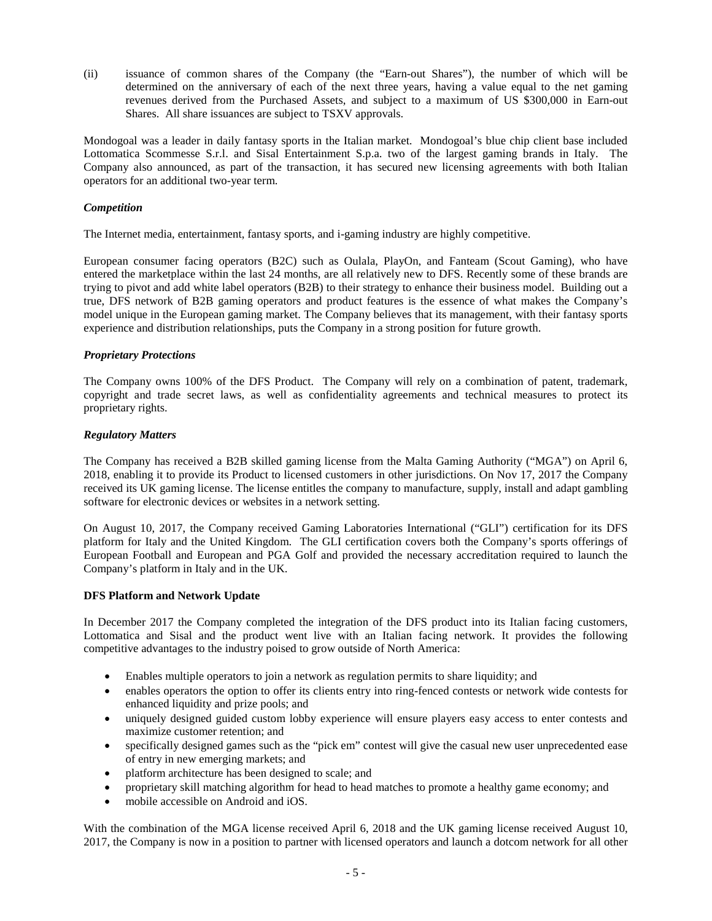(ii) issuance of common shares of the Company (the "Earn-out Shares"), the number of which will be determined on the anniversary of each of the next three years, having a value equal to the net gaming revenues derived from the Purchased Assets, and subject to a maximum of US \$300,000 in Earn-out Shares. All share issuances are subject to TSXV approvals.

Mondogoal was a leader in daily fantasy sports in the Italian market. Mondogoal's blue chip client base included Lottomatica Scommesse S.r.l. and Sisal Entertainment S.p.a. two of the largest gaming brands in Italy. The Company also announced, as part of the transaction, it has secured new licensing agreements with both Italian operators for an additional two-year term.

# *Competition*

The Internet media, entertainment, fantasy sports, and i-gaming industry are highly competitive.

European consumer facing operators (B2C) such as Oulala, PlayOn, and Fanteam (Scout Gaming), who have entered the marketplace within the last 24 months, are all relatively new to DFS. Recently some of these brands are trying to pivot and add white label operators (B2B) to their strategy to enhance their business model. Building out a true, DFS network of B2B gaming operators and product features is the essence of what makes the Company's model unique in the European gaming market. The Company believes that its management, with their fantasy sports experience and distribution relationships, puts the Company in a strong position for future growth.

## *Proprietary Protections*

The Company owns 100% of the DFS Product. The Company will rely on a combination of patent, trademark, copyright and trade secret laws, as well as confidentiality agreements and technical measures to protect its proprietary rights.

## *Regulatory Matters*

The Company has received a B2B skilled gaming license from the Malta Gaming Authority ("MGA") on April 6, 2018, enabling it to provide its Product to licensed customers in other jurisdictions. On Nov 17, 2017 the Company received its UK gaming license. The license entitles the company to manufacture, supply, install and adapt gambling software for electronic devices or websites in a network setting.

On August 10, 2017, the Company received Gaming Laboratories International ("GLI") certification for its DFS platform for Italy and the United Kingdom. The GLI certification covers both the Company's sports offerings of European Football and European and PGA Golf and provided the necessary accreditation required to launch the Company's platform in Italy and in the UK.

# **DFS Platform and Network Update**

In December 2017 the Company completed the integration of the DFS product into its Italian facing customers, Lottomatica and Sisal and the product went live with an Italian facing network. It provides the following competitive advantages to the industry poised to grow outside of North America:

- Enables multiple operators to join a network as regulation permits to share liquidity; and
- enables operators the option to offer its clients entry into ring-fenced contests or network wide contests for enhanced liquidity and prize pools; and
- uniquely designed guided custom lobby experience will ensure players easy access to enter contests and maximize customer retention; and
- specifically designed games such as the "pick em" contest will give the casual new user unprecedented ease of entry in new emerging markets; and
- platform architecture has been designed to scale; and
- proprietary skill matching algorithm for head to head matches to promote a healthy game economy; and
- mobile accessible on Android and iOS.

With the combination of the MGA license received April 6, 2018 and the UK gaming license received August 10, 2017, the Company is now in a position to partner with licensed operators and launch a dotcom network for all other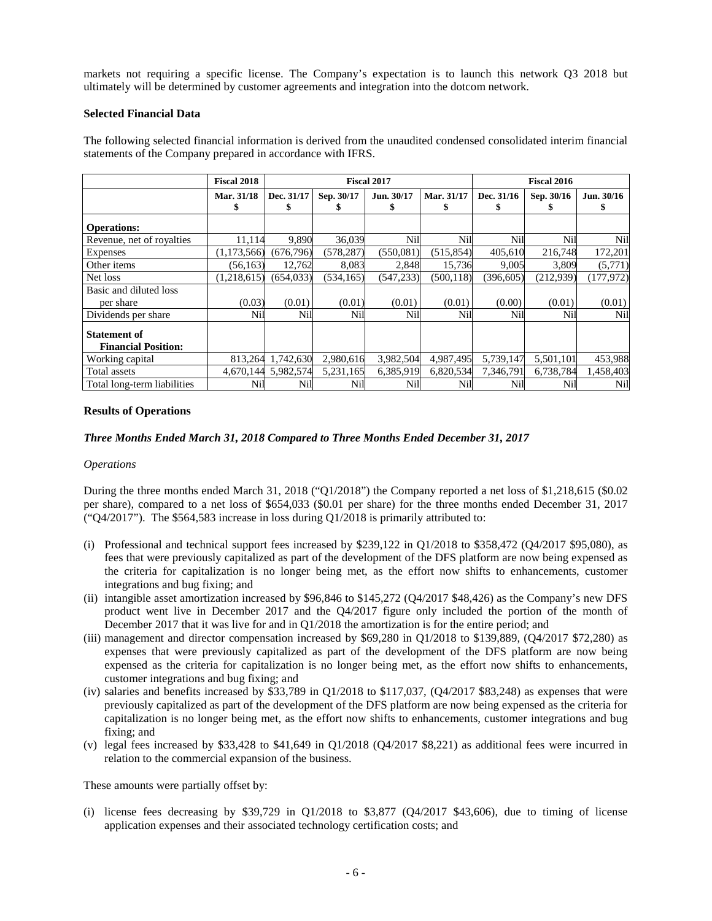markets not requiring a specific license. The Company's expectation is to launch this network Q3 2018 but ultimately will be determined by customer agreements and integration into the dotcom network.

## **Selected Financial Data**

The following selected financial information is derived from the unaudited condensed consolidated interim financial statements of the Company prepared in accordance with IFRS.

|                                                   | <b>Fiscal 2018</b> | <b>Fiscal 2017</b>  |            |                 | <b>Fiscal 2016</b> |            |            |            |
|---------------------------------------------------|--------------------|---------------------|------------|-----------------|--------------------|------------|------------|------------|
|                                                   | Mar. 31/18         | Dec. 31/17          | Sep. 30/17 | Jun. 30/17<br>ъ | Mar. 31/17         | Dec. 31/16 | Sep. 30/16 | Jun. 30/16 |
| <b>Operations:</b>                                |                    |                     |            |                 |                    |            |            |            |
| Revenue, net of royalties                         | 11,114             | 9,890               | 36,039     | Nil             | Nil                | Nil        | Nil        | Nil        |
| Expenses                                          | (1,173,566)        | (676, 796)          | (578, 287) | (550, 081)      | (515, 854)         | 405,610    | 216,748    | 172,201    |
| Other items                                       | (56, 163)          | 12,762              | 8,083      | 2,848           | 15,736             | 9,005      | 3,809      | (5,771)    |
| Net loss                                          | (1,218,615)        | (654.033)           | (534, 165) | (547, 233)      | (500, 118)         | (396, 605) | (212,939)  | (177, 972) |
| Basic and diluted loss                            |                    |                     |            |                 |                    |            |            |            |
| per share                                         | (0.03)             | (0.01)              | (0.01)     | (0.01)          | (0.01)             | (0.00)     | (0.01)     | (0.01)     |
| Dividends per share                               | Nil                | Nil                 | Nil        | Nil             | Nil                | Nil        | Nil        | Nil        |
| <b>Statement of</b><br><b>Financial Position:</b> |                    |                     |            |                 |                    |            |            |            |
| Working capital                                   |                    | 813,264 1,742,630   | 2,980,616  | 3,982,504       | 4,987,495          | 5,739,147  | 5,501,101  | 453,988    |
| Total assets                                      |                    | 4,670,144 5,982,574 | 5,231,165  | 6,385,919       | 6,820,534          | 7,346,791  | 6,738,784  | 1,458,403  |
| Total long-term liabilities                       | Nil                | Nil                 | Nil        | Nil             | Nil                | Nil        | Nil        | Nil        |

# **Results of Operations**

# *Three Months Ended March 31, 2018 Compared to Three Months Ended December 31, 2017*

### *Operations*

During the three months ended March 31, 2018 ("Q1/2018") the Company reported a net loss of \$1,218,615 (\$0.02 per share), compared to a net loss of \$654,033 (\$0.01 per share) for the three months ended December 31, 2017 (" $Q4/2017$ "). The \$564,583 increase in loss during  $Q1/2018$  is primarily attributed to:

- (i) Professional and technical support fees increased by \$239,122 in Q1/2018 to \$358,472 (Q4/2017 \$95,080), as fees that were previously capitalized as part of the development of the DFS platform are now being expensed as the criteria for capitalization is no longer being met, as the effort now shifts to enhancements, customer integrations and bug fixing; and
- (ii) intangible asset amortization increased by \$96,846 to \$145,272 (Q4/2017 \$48,426) as the Company's new DFS product went live in December 2017 and the Q4/2017 figure only included the portion of the month of December 2017 that it was live for and in  $Q1/2018$  the amortization is for the entire period; and
- (iii) management and director compensation increased by \$69,280 in Q1/2018 to \$139,889, (Q4/2017 \$72,280) as expenses that were previously capitalized as part of the development of the DFS platform are now being expensed as the criteria for capitalization is no longer being met, as the effort now shifts to enhancements, customer integrations and bug fixing; and
- (iv) salaries and benefits increased by \$33,789 in  $Q1/2018$  to \$117,037,  $(Q4/2017$  \$83,248) as expenses that were previously capitalized as part of the development of the DFS platform are now being expensed as the criteria for capitalization is no longer being met, as the effort now shifts to enhancements, customer integrations and bug fixing; and
- (v) legal fees increased by \$33,428 to \$41,649 in Q1/2018 (Q4/2017 \$8,221) as additional fees were incurred in relation to the commercial expansion of the business.

These amounts were partially offset by:

(i) license fees decreasing by \$39,729 in  $Q1/2018$  to \$3,877 ( $Q4/2017$  \$43,606), due to timing of license application expenses and their associated technology certification costs; and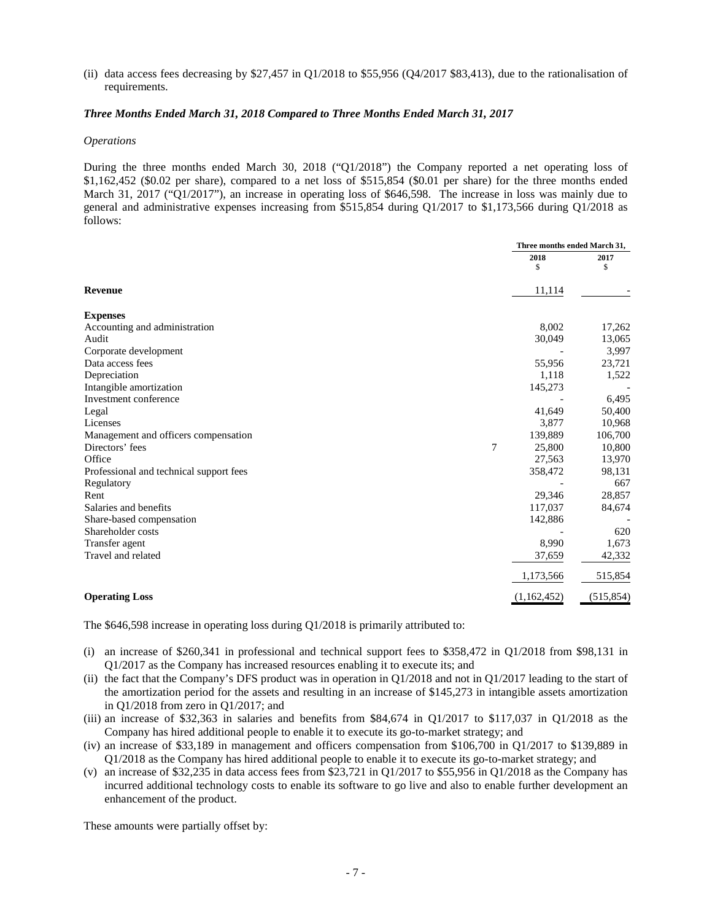(ii) data access fees decreasing by  $$27,457$  in Q1/2018 to  $$55,956$  (Q4/2017 \$83,413), due to the rationalisation of requirements.

## *Three Months Ended March 31, 2018 Compared to Three Months Ended March 31, 2017*

#### *Operations*

During the three months ended March 30, 2018 ("Q1/2018") the Company reported a net operating loss of \$1,162,452 (\$0.02 per share), compared to a net loss of \$515,854 (\$0.01 per share) for the three months ended March 31, 2017 ("Q1/2017"), an increase in operating loss of \$646,598. The increase in loss was mainly due to general and administrative expenses increasing from \$515,854 during Q1/2017 to \$1,173,566 during Q1/2018 as follows:

|                                         |             | Three months ended March 31, |  |
|-----------------------------------------|-------------|------------------------------|--|
|                                         | 2018        | 2017                         |  |
|                                         | \$          | \$                           |  |
| <b>Revenue</b>                          | 11,114      |                              |  |
| <b>Expenses</b>                         |             |                              |  |
| Accounting and administration           | 8,002       | 17,262                       |  |
| Audit                                   | 30,049      | 13,065                       |  |
| Corporate development                   |             | 3,997                        |  |
| Data access fees                        | 55,956      | 23,721                       |  |
| Depreciation                            | 1,118       | 1,522                        |  |
| Intangible amortization                 | 145,273     |                              |  |
| Investment conference                   |             | 6,495                        |  |
| Legal                                   | 41,649      | 50,400                       |  |
| Licenses                                | 3.877       | 10,968                       |  |
| Management and officers compensation    | 139,889     | 106,700                      |  |
| Directors' fees                         | 7<br>25,800 | 10,800                       |  |
| Office                                  | 27,563      | 13,970                       |  |
| Professional and technical support fees | 358,472     | 98,131                       |  |
| Regulatory                              |             | 667                          |  |
| Rent                                    | 29,346      | 28,857                       |  |
| Salaries and benefits                   | 117,037     | 84,674                       |  |
| Share-based compensation                | 142,886     |                              |  |
| Shareholder costs                       |             | 620                          |  |
| Transfer agent                          | 8,990       | 1,673                        |  |
| Travel and related                      | 37,659      | 42,332                       |  |
|                                         | 1,173,566   | 515,854                      |  |
| <b>Operating Loss</b>                   | (1,162,452) | (515, 854)                   |  |

The \$646,598 increase in operating loss during Q1/2018 is primarily attributed to:

- (i) an increase of \$260,341 in professional and technical support fees to \$358,472 in Q1/2018 from \$98,131 in Q1/2017 as the Company has increased resources enabling it to execute its; and
- (ii) the fact that the Company's DFS product was in operation in Q1/2018 and not in Q1/2017 leading to the start of the amortization period for the assets and resulting in an increase of \$145,273 in intangible assets amortization in Q1/2018 from zero in Q1/2017; and
- (iii) an increase of \$32,363 in salaries and benefits from \$84,674 in Q1/2017 to \$117,037 in Q1/2018 as the Company has hired additional people to enable it to execute its go-to-market strategy; and
- (iv) an increase of \$33,189 in management and officers compensation from \$106,700 in Q1/2017 to \$139,889 in Q1/2018 as the Company has hired additional people to enable it to execute its go-to-market strategy; and
- (v) an increase of \$32,235 in data access fees from \$23,721 in Q1/2017 to \$55,956 in Q1/2018 as the Company has incurred additional technology costs to enable its software to go live and also to enable further development an enhancement of the product.

These amounts were partially offset by: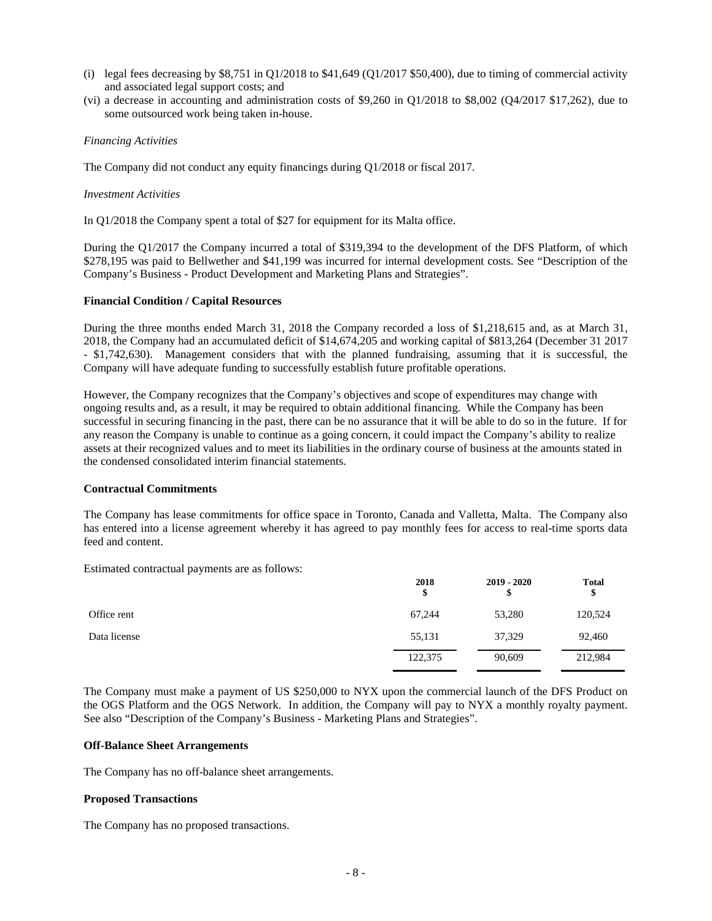- (i) legal fees decreasing by  $$8,751$  in Q1/2018 to  $$41,649$  (Q1/2017 \$50,400), due to timing of commercial activity and associated legal support costs; and
- (vi) a decrease in accounting and administration costs of \$9,260 in  $Q1/2018$  to \$8,002 ( $Q4/2017$  \$17,262), due to some outsourced work being taken in-house.

## *Financing Activities*

The Company did not conduct any equity financings during Q1/2018 or fiscal 2017.

### *Investment Activities*

In Q1/2018 the Company spent a total of \$27 for equipment for its Malta office.

During the Q1/2017 the Company incurred a total of \$319,394 to the development of the DFS Platform, of which \$278,195 was paid to Bellwether and \$41,199 was incurred for internal development costs. See "Description of the Company's Business - Product Development and Marketing Plans and Strategies".

## **Financial Condition / Capital Resources**

During the three months ended March 31, 2018 the Company recorded a loss of \$1,218,615 and, as at March 31, 2018, the Company had an accumulated deficit of \$14,674,205 and working capital of \$813,264 (December 31 2017 - \$1,742,630). Management considers that with the planned fundraising, assuming that it is successful, the Company will have adequate funding to successfully establish future profitable operations.

However, the Company recognizes that the Company's objectives and scope of expenditures may change with ongoing results and, as a result, it may be required to obtain additional financing. While the Company has been successful in securing financing in the past, there can be no assurance that it will be able to do so in the future. If for any reason the Company is unable to continue as a going concern, it could impact the Company's ability to realize assets at their recognized values and to meet its liabilities in the ordinary course of business at the amounts stated in the condensed consolidated interim financial statements.

## **Contractual Commitments**

The Company has lease commitments for office space in Toronto, Canada and Valletta, Malta. The Company also has entered into a license agreement whereby it has agreed to pay monthly fees for access to real-time sports data feed and content.

Estimated contractual payments are as follows:

|              | 2018<br>\$ | $2019 - 2020$<br>\$ | Total<br>\$ |
|--------------|------------|---------------------|-------------|
| Office rent  | 67,244     | 53,280              | 120,524     |
| Data license | 55,131     | 37,329              | 92,460      |
|              | 122,375    | 90,609              | 212,984     |

The Company must make a payment of US \$250,000 to NYX upon the commercial launch of the DFS Product on the OGS Platform and the OGS Network. In addition, the Company will pay to NYX a monthly royalty payment. See also "Description of the Company's Business - Marketing Plans and Strategies".

# **Off-Balance Sheet Arrangements**

The Company has no off-balance sheet arrangements.

# **Proposed Transactions**

The Company has no proposed transactions.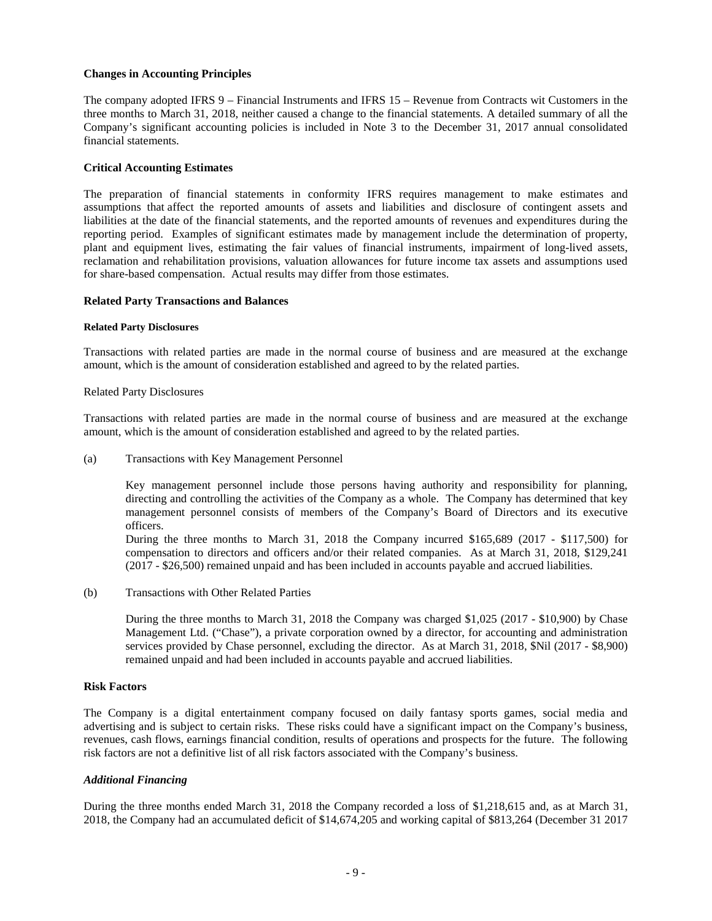## **Changes in Accounting Principles**

The company adopted IFRS 9 – Financial Instruments and IFRS 15 – Revenue from Contracts wit Customers in the three months to March 31, 2018, neither caused a change to the financial statements. A detailed summary of all the Company's significant accounting policies is included in Note 3 to the December 31, 2017 annual consolidated financial statements.

## **Critical Accounting Estimates**

The preparation of financial statements in conformity IFRS requires management to make estimates and assumptions that affect the reported amounts of assets and liabilities and disclosure of contingent assets and liabilities at the date of the financial statements, and the reported amounts of revenues and expenditures during the reporting period. Examples of significant estimates made by management include the determination of property, plant and equipment lives, estimating the fair values of financial instruments, impairment of long-lived assets, reclamation and rehabilitation provisions, valuation allowances for future income tax assets and assumptions used for share-based compensation. Actual results may differ from those estimates.

### **Related Party Transactions and Balances**

#### **Related Party Disclosures**

Transactions with related parties are made in the normal course of business and are measured at the exchange amount, which is the amount of consideration established and agreed to by the related parties.

#### Related Party Disclosures

Transactions with related parties are made in the normal course of business and are measured at the exchange amount, which is the amount of consideration established and agreed to by the related parties.

(a) Transactions with Key Management Personnel

Key management personnel include those persons having authority and responsibility for planning, directing and controlling the activities of the Company as a whole. The Company has determined that key management personnel consists of members of the Company's Board of Directors and its executive officers.

During the three months to March 31, 2018 the Company incurred \$165,689 (2017 - \$117,500) for compensation to directors and officers and/or their related companies. As at March 31, 2018, \$129,241 (2017 - \$26,500) remained unpaid and has been included in accounts payable and accrued liabilities.

(b) Transactions with Other Related Parties

During the three months to March 31, 2018 the Company was charged \$1,025 (2017 - \$10,900) by Chase Management Ltd. ("Chase"), a private corporation owned by a director, for accounting and administration services provided by Chase personnel, excluding the director. As at March 31, 2018, \$Nil (2017 - \$8,900) remained unpaid and had been included in accounts payable and accrued liabilities.

## **Risk Factors**

The Company is a digital entertainment company focused on daily fantasy sports games, social media and advertising and is subject to certain risks. These risks could have a significant impact on the Company's business, revenues, cash flows, earnings financial condition, results of operations and prospects for the future. The following risk factors are not a definitive list of all risk factors associated with the Company's business.

## *Additional Financing*

During the three months ended March 31, 2018 the Company recorded a loss of \$1,218,615 and, as at March 31, 2018, the Company had an accumulated deficit of \$14,674,205 and working capital of \$813,264 (December 31 2017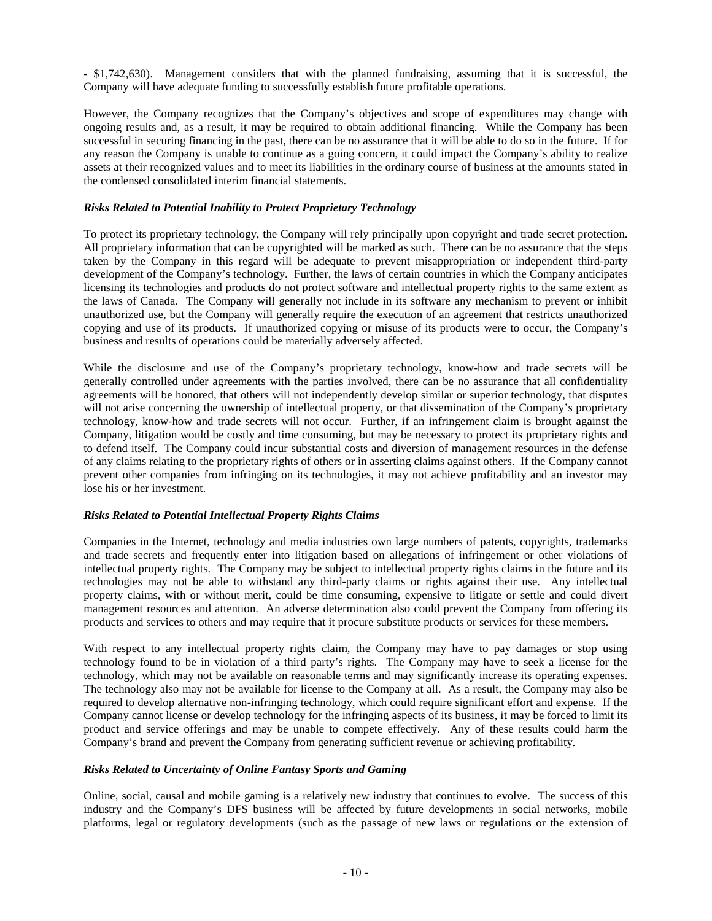- \$1,742,630). Management considers that with the planned fundraising, assuming that it is successful, the Company will have adequate funding to successfully establish future profitable operations.

However, the Company recognizes that the Company's objectives and scope of expenditures may change with ongoing results and, as a result, it may be required to obtain additional financing. While the Company has been successful in securing financing in the past, there can be no assurance that it will be able to do so in the future. If for any reason the Company is unable to continue as a going concern, it could impact the Company's ability to realize assets at their recognized values and to meet its liabilities in the ordinary course of business at the amounts stated in the condensed consolidated interim financial statements.

# *Risks Related to Potential Inability to Protect Proprietary Technology*

To protect its proprietary technology, the Company will rely principally upon copyright and trade secret protection. All proprietary information that can be copyrighted will be marked as such. There can be no assurance that the steps taken by the Company in this regard will be adequate to prevent misappropriation or independent third-party development of the Company's technology. Further, the laws of certain countries in which the Company anticipates licensing its technologies and products do not protect software and intellectual property rights to the same extent as the laws of Canada. The Company will generally not include in its software any mechanism to prevent or inhibit unauthorized use, but the Company will generally require the execution of an agreement that restricts unauthorized copying and use of its products. If unauthorized copying or misuse of its products were to occur, the Company's business and results of operations could be materially adversely affected.

While the disclosure and use of the Company's proprietary technology, know-how and trade secrets will be generally controlled under agreements with the parties involved, there can be no assurance that all confidentiality agreements will be honored, that others will not independently develop similar or superior technology, that disputes will not arise concerning the ownership of intellectual property, or that dissemination of the Company's proprietary technology, know-how and trade secrets will not occur. Further, if an infringement claim is brought against the Company, litigation would be costly and time consuming, but may be necessary to protect its proprietary rights and to defend itself. The Company could incur substantial costs and diversion of management resources in the defense of any claims relating to the proprietary rights of others or in asserting claims against others. If the Company cannot prevent other companies from infringing on its technologies, it may not achieve profitability and an investor may lose his or her investment.

# *Risks Related to Potential Intellectual Property Rights Claims*

Companies in the Internet, technology and media industries own large numbers of patents, copyrights, trademarks and trade secrets and frequently enter into litigation based on allegations of infringement or other violations of intellectual property rights. The Company may be subject to intellectual property rights claims in the future and its technologies may not be able to withstand any third-party claims or rights against their use. Any intellectual property claims, with or without merit, could be time consuming, expensive to litigate or settle and could divert management resources and attention. An adverse determination also could prevent the Company from offering its products and services to others and may require that it procure substitute products or services for these members.

With respect to any intellectual property rights claim, the Company may have to pay damages or stop using technology found to be in violation of a third party's rights. The Company may have to seek a license for the technology, which may not be available on reasonable terms and may significantly increase its operating expenses. The technology also may not be available for license to the Company at all. As a result, the Company may also be required to develop alternative non-infringing technology, which could require significant effort and expense. If the Company cannot license or develop technology for the infringing aspects of its business, it may be forced to limit its product and service offerings and may be unable to compete effectively. Any of these results could harm the Company's brand and prevent the Company from generating sufficient revenue or achieving profitability.

### *Risks Related to Uncertainty of Online Fantasy Sports and Gaming*

Online, social, causal and mobile gaming is a relatively new industry that continues to evolve. The success of this industry and the Company's DFS business will be affected by future developments in social networks, mobile platforms, legal or regulatory developments (such as the passage of new laws or regulations or the extension of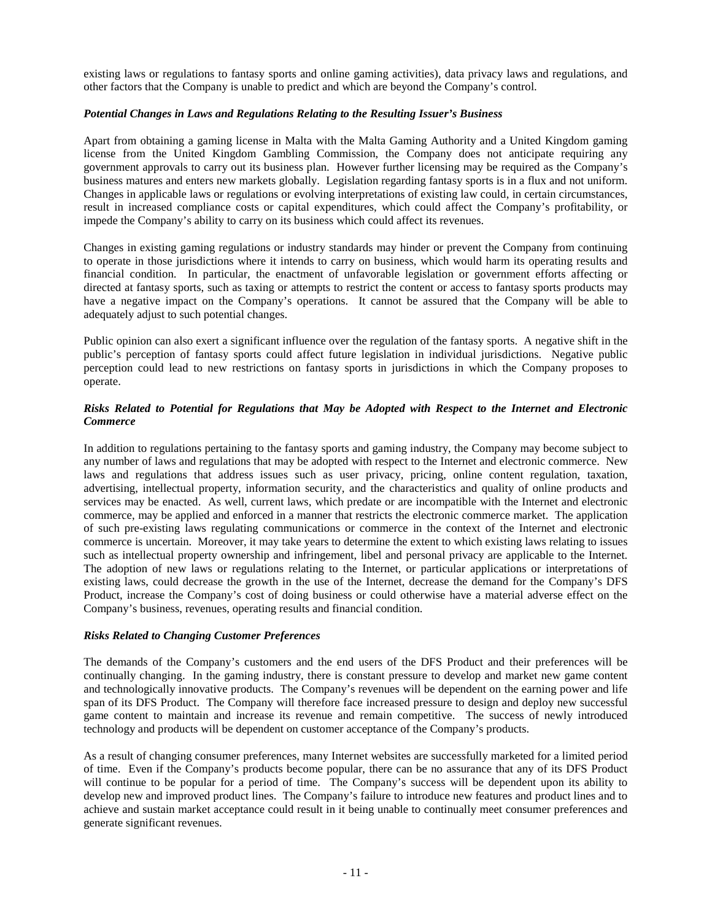existing laws or regulations to fantasy sports and online gaming activities), data privacy laws and regulations, and other factors that the Company is unable to predict and which are beyond the Company's control.

## *Potential Changes in Laws and Regulations Relating to the Resulting Issuer's Business*

Apart from obtaining a gaming license in Malta with the Malta Gaming Authority and a United Kingdom gaming license from the United Kingdom Gambling Commission, the Company does not anticipate requiring any government approvals to carry out its business plan. However further licensing may be required as the Company's business matures and enters new markets globally. Legislation regarding fantasy sports is in a flux and not uniform. Changes in applicable laws or regulations or evolving interpretations of existing law could, in certain circumstances, result in increased compliance costs or capital expenditures, which could affect the Company's profitability, or impede the Company's ability to carry on its business which could affect its revenues.

Changes in existing gaming regulations or industry standards may hinder or prevent the Company from continuing to operate in those jurisdictions where it intends to carry on business, which would harm its operating results and financial condition. In particular, the enactment of unfavorable legislation or government efforts affecting or directed at fantasy sports, such as taxing or attempts to restrict the content or access to fantasy sports products may have a negative impact on the Company's operations. It cannot be assured that the Company will be able to adequately adjust to such potential changes.

Public opinion can also exert a significant influence over the regulation of the fantasy sports. A negative shift in the public's perception of fantasy sports could affect future legislation in individual jurisdictions. Negative public perception could lead to new restrictions on fantasy sports in jurisdictions in which the Company proposes to operate.

# *Risks Related to Potential for Regulations that May be Adopted with Respect to the Internet and Electronic Commerce*

In addition to regulations pertaining to the fantasy sports and gaming industry, the Company may become subject to any number of laws and regulations that may be adopted with respect to the Internet and electronic commerce. New laws and regulations that address issues such as user privacy, pricing, online content regulation, taxation, advertising, intellectual property, information security, and the characteristics and quality of online products and services may be enacted. As well, current laws, which predate or are incompatible with the Internet and electronic commerce, may be applied and enforced in a manner that restricts the electronic commerce market. The application of such pre-existing laws regulating communications or commerce in the context of the Internet and electronic commerce is uncertain. Moreover, it may take years to determine the extent to which existing laws relating to issues such as intellectual property ownership and infringement, libel and personal privacy are applicable to the Internet. The adoption of new laws or regulations relating to the Internet, or particular applications or interpretations of existing laws, could decrease the growth in the use of the Internet, decrease the demand for the Company's DFS Product, increase the Company's cost of doing business or could otherwise have a material adverse effect on the Company's business, revenues, operating results and financial condition.

# *Risks Related to Changing Customer Preferences*

The demands of the Company's customers and the end users of the DFS Product and their preferences will be continually changing. In the gaming industry, there is constant pressure to develop and market new game content and technologically innovative products. The Company's revenues will be dependent on the earning power and life span of its DFS Product. The Company will therefore face increased pressure to design and deploy new successful game content to maintain and increase its revenue and remain competitive. The success of newly introduced technology and products will be dependent on customer acceptance of the Company's products.

As a result of changing consumer preferences, many Internet websites are successfully marketed for a limited period of time. Even if the Company's products become popular, there can be no assurance that any of its DFS Product will continue to be popular for a period of time. The Company's success will be dependent upon its ability to develop new and improved product lines. The Company's failure to introduce new features and product lines and to achieve and sustain market acceptance could result in it being unable to continually meet consumer preferences and generate significant revenues.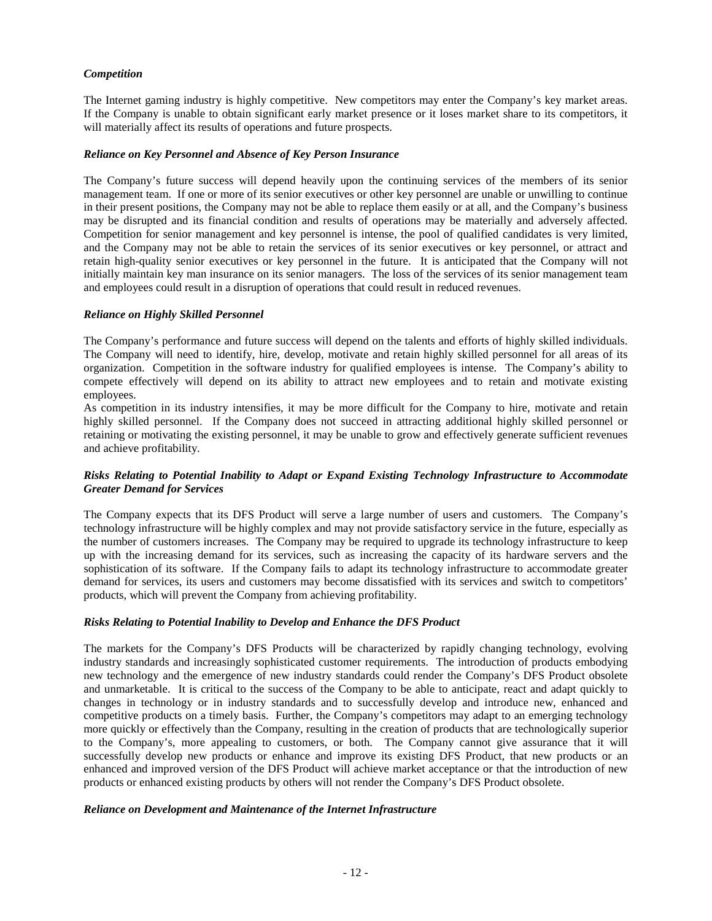# *Competition*

The Internet gaming industry is highly competitive. New competitors may enter the Company's key market areas. If the Company is unable to obtain significant early market presence or it loses market share to its competitors, it will materially affect its results of operations and future prospects.

# *Reliance on Key Personnel and Absence of Key Person Insurance*

The Company's future success will depend heavily upon the continuing services of the members of its senior management team. If one or more of its senior executives or other key personnel are unable or unwilling to continue in their present positions, the Company may not be able to replace them easily or at all, and the Company's business may be disrupted and its financial condition and results of operations may be materially and adversely affected. Competition for senior management and key personnel is intense, the pool of qualified candidates is very limited, and the Company may not be able to retain the services of its senior executives or key personnel, or attract and retain high-quality senior executives or key personnel in the future. It is anticipated that the Company will not initially maintain key man insurance on its senior managers. The loss of the services of its senior management team and employees could result in a disruption of operations that could result in reduced revenues.

## *Reliance on Highly Skilled Personnel*

The Company's performance and future success will depend on the talents and efforts of highly skilled individuals. The Company will need to identify, hire, develop, motivate and retain highly skilled personnel for all areas of its organization. Competition in the software industry for qualified employees is intense. The Company's ability to compete effectively will depend on its ability to attract new employees and to retain and motivate existing employees.

As competition in its industry intensifies, it may be more difficult for the Company to hire, motivate and retain highly skilled personnel. If the Company does not succeed in attracting additional highly skilled personnel or retaining or motivating the existing personnel, it may be unable to grow and effectively generate sufficient revenues and achieve profitability.

# *Risks Relating to Potential Inability to Adapt or Expand Existing Technology Infrastructure to Accommodate Greater Demand for Services*

The Company expects that its DFS Product will serve a large number of users and customers. The Company's technology infrastructure will be highly complex and may not provide satisfactory service in the future, especially as the number of customers increases. The Company may be required to upgrade its technology infrastructure to keep up with the increasing demand for its services, such as increasing the capacity of its hardware servers and the sophistication of its software. If the Company fails to adapt its technology infrastructure to accommodate greater demand for services, its users and customers may become dissatisfied with its services and switch to competitors' products, which will prevent the Company from achieving profitability.

### *Risks Relating to Potential Inability to Develop and Enhance the DFS Product*

The markets for the Company's DFS Products will be characterized by rapidly changing technology, evolving industry standards and increasingly sophisticated customer requirements. The introduction of products embodying new technology and the emergence of new industry standards could render the Company's DFS Product obsolete and unmarketable. It is critical to the success of the Company to be able to anticipate, react and adapt quickly to changes in technology or in industry standards and to successfully develop and introduce new, enhanced and competitive products on a timely basis. Further, the Company's competitors may adapt to an emerging technology more quickly or effectively than the Company, resulting in the creation of products that are technologically superior to the Company's, more appealing to customers, or both. The Company cannot give assurance that it will successfully develop new products or enhance and improve its existing DFS Product, that new products or an enhanced and improved version of the DFS Product will achieve market acceptance or that the introduction of new products or enhanced existing products by others will not render the Company's DFS Product obsolete.

### *Reliance on Development and Maintenance of the Internet Infrastructure*